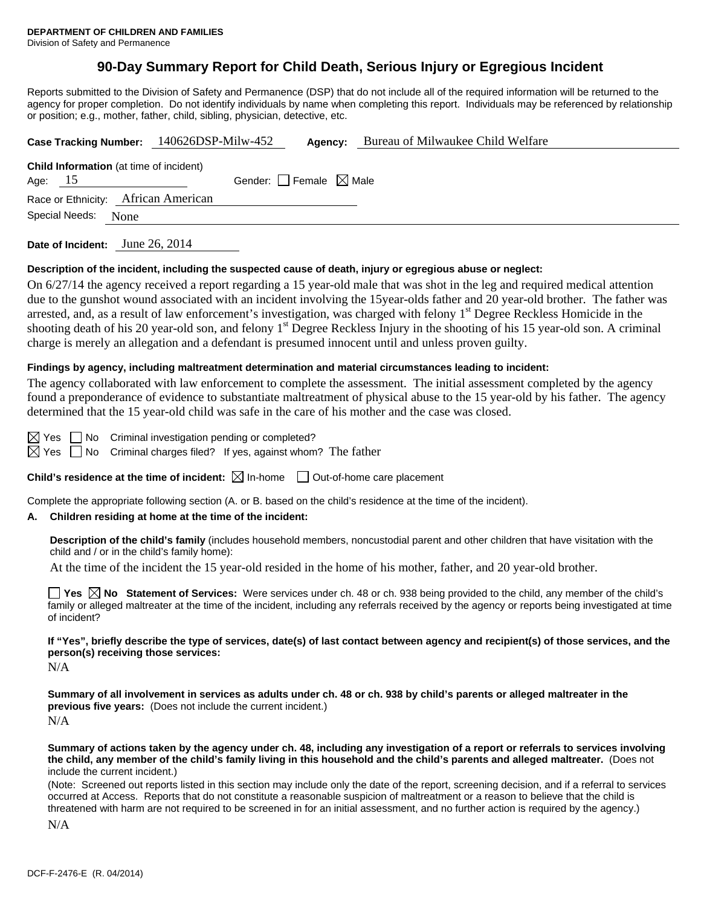## **90-Day Summary Report for Child Death, Serious Injury or Egregious Incident**

Reports submitted to the Division of Safety and Permanence (DSP) that do not include all of the required information will be returned to the agency for proper completion. Do not identify individuals by name when completing this report. Individuals may be referenced by relationship or position; e.g., mother, father, child, sibling, physician, detective, etc.

|                                                             | Case Tracking Number: 140626DSP-Milw-452<br>Agency: | Bureau of Milwaukee Child Welfare |
|-------------------------------------------------------------|-----------------------------------------------------|-----------------------------------|
| <b>Child Information</b> (at time of incident)<br>Age: $15$ | Gender: Female $\boxtimes$ Male                     |                                   |
| Race or Ethnicity: African American                         |                                                     |                                   |
| Special Needs: None                                         |                                                     |                                   |
| Date of Incident: June 26, 2014                             |                                                     |                                   |

#### **Description of the incident, including the suspected cause of death, injury or egregious abuse or neglect:**

On 6/27/14 the agency received a report regarding a 15 year-old male that was shot in the leg and required medical attention due to the gunshot wound associated with an incident involving the 15year-olds father and 20 year-old brother. The father was arrested, and, as a result of law enforcement's investigation, was charged with felony 1<sup>st</sup> Degree Reckless Homicide in the shooting death of his 20 year-old son, and felony  $1<sup>st</sup>$  Degree Reckless Injury in the shooting of his 15 year-old son. A criminal charge is merely an allegation and a defendant is presumed innocent until and unless proven guilty.

#### **Findings by agency, including maltreatment determination and material circumstances leading to incident:**

The agency collaborated with law enforcement to complete the assessment. The initial assessment completed by the agency found a preponderance of evidence to substantiate maltreatment of physical abuse to the 15 year-old by his father. The agency determined that the 15 year-old child was safe in the care of his mother and the case was closed.

 $\boxtimes$  Yes  $\Box$  No Criminal investigation pending or completed?

 $\boxtimes$  Yes  $\Box$  No Criminal charges filed? If yes, against whom? The father

**Child's residence at the time of incident:**  $\boxtimes$  In-home  $\Box$  Out-of-home care placement

Complete the appropriate following section (A. or B. based on the child's residence at the time of the incident).

#### **A. Children residing at home at the time of the incident:**

**Description of the child's family** (includes household members, noncustodial parent and other children that have visitation with the child and / or in the child's family home):

At the time of the incident the 15 year-old resided in the home of his mother, father, and 20 year-old brother.

**Yes**  $\boxtimes$  **No** Statement of Services: Were services under ch. 48 or ch. 938 being provided to the child, any member of the child's family or alleged maltreater at the time of the incident, including any referrals received by the agency or reports being investigated at time of incident?

**If "Yes", briefly describe the type of services, date(s) of last contact between agency and recipient(s) of those services, and the person(s) receiving those services:** 

N/A

**Summary of all involvement in services as adults under ch. 48 or ch. 938 by child's parents or alleged maltreater in the previous five years:** (Does not include the current incident.) N/A

**Summary of actions taken by the agency under ch. 48, including any investigation of a report or referrals to services involving the child, any member of the child's family living in this household and the child's parents and alleged maltreater.** (Does not include the current incident.)

(Note: Screened out reports listed in this section may include only the date of the report, screening decision, and if a referral to services occurred at Access. Reports that do not constitute a reasonable suspicion of maltreatment or a reason to believe that the child is threatened with harm are not required to be screened in for an initial assessment, and no further action is required by the agency.)

N/A